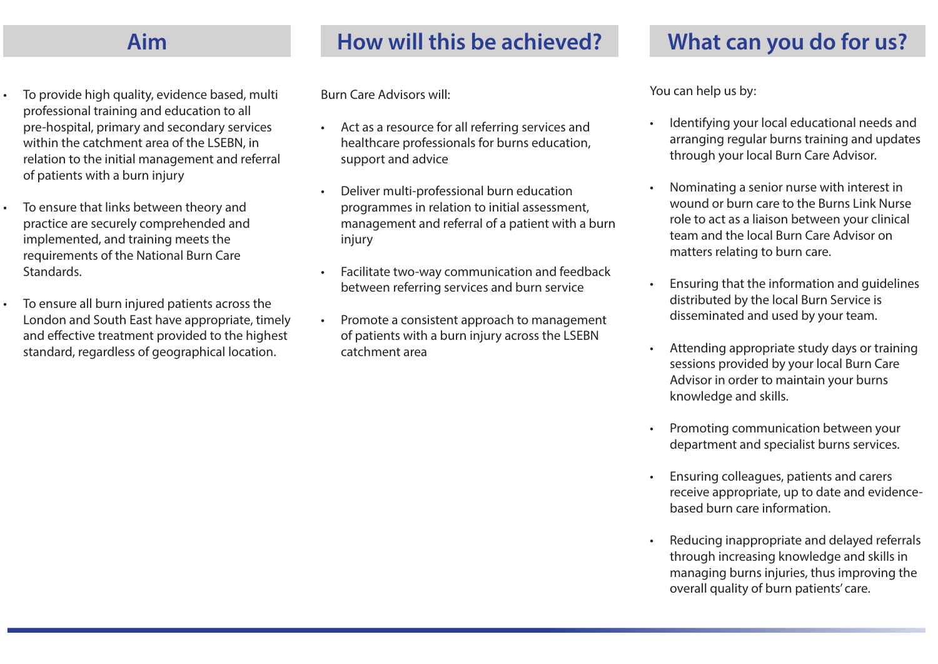- To provide high quality, evidence based, multi professional training and education to all pre-hospital, primary and secondary services within the catchment area of the LSEBN, in relation to the initial management and referral of patients with a burn injury
- To ensure that links between theory and practice are securely comprehended and implemented, and training meets the requirements of the National Burn Care Standards.
- To ensure all burn injured patients across the London and South East have appropriate, timely and effective treatment provided to the highest standard, regardless of geographical location.

Burn Care Advisors will:

- Act as a resource for all referring services and healthcare professionals for burns education, support and advice
- Deliver multi-professional burn education programmes in relation to initial assessment, management and referral of a patient with a burn injury
- Facilitate two-way communication and feedback between referring services and burn service
- Promote a consistent approach to management of patients with a burn injury across the LSEBN catchment area

You can help us by:

- Identifying your local educational needs and arranging regular burns training and updates through your local Burn Care Advisor.
- Nominating a senior nurse with interest in wound or burn care to the Burns Link Nurse role to act as a liaison between your clinical team and the local Burn Care Advisor on matters relating to burn care.
- Ensuring that the information and guidelines distributed by the local Burn Service is disseminated and used by your team.
- Attending appropriate study days or training sessions provided by your local Burn Care Advisor in order to maintain your burns knowledge and skills.
- Promoting communication between your department and specialist burns services.
- Ensuring colleagues, patients and carers receive appropriate, up to date and evidencebased burn care information.
- Reducing inappropriate and delayed referrals through increasing knowledge and skills in managing burns injuries, thus improving the overall quality of burn patients' care.